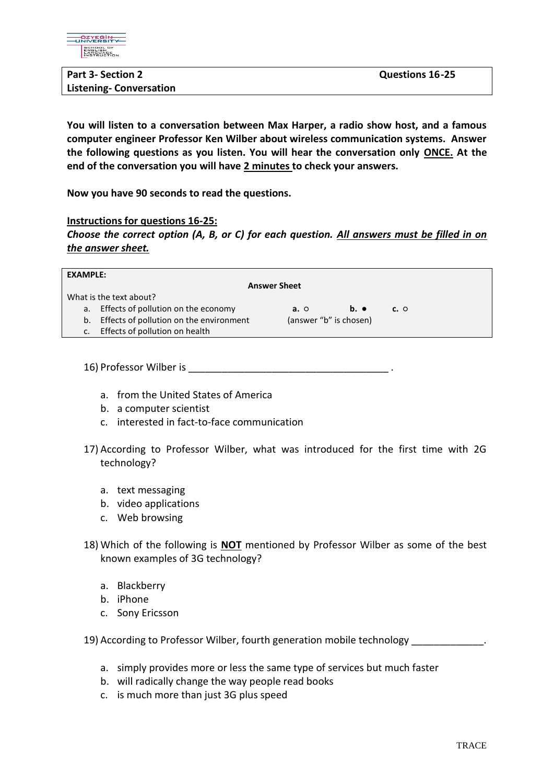

| <b>Part 3- Section 2</b>       | <b>Questions 16-25</b> |
|--------------------------------|------------------------|
| <b>Listening- Conversation</b> |                        |

**You will listen to a conversation between Max Harper, a radio show host, and a famous computer engineer Professor Ken Wilber about wireless communication systems. Answer the following questions as you listen. You will hear the conversation only ONCE. At the end of the conversation you will have 2 minutes to check your answers.**

**Now you have 90 seconds to read the questions.** 

## **Instructions for questions 16-25:**

*Choose the correct option (A, B, or C) for each question. All answers must be filled in on the answer sheet.*

| <b>EXAMPLE:</b>         |                                         |            |                        |            |  |  |
|-------------------------|-----------------------------------------|------------|------------------------|------------|--|--|
| <b>Answer Sheet</b>     |                                         |            |                        |            |  |  |
| What is the text about? |                                         |            |                        |            |  |  |
| а.                      | Effects of pollution on the economy     | $a. \circ$ | $b.$ $\bullet$         | $c. \circ$ |  |  |
| b.                      | Effects of pollution on the environment |            | (answer "b" is chosen) |            |  |  |
| $\mathsf{C}$ .          | Effects of pollution on health          |            |                        |            |  |  |
|                         |                                         |            |                        |            |  |  |

16) Professor Wilber is

- a. from the United States of America
- b. a computer scientist
- c. interested in fact-to-face communication
- 17) According to Professor Wilber, what was introduced for the first time with 2G technology?
	- a. text messaging
	- b. video applications
	- c. Web browsing
- 18) Which of the following is **NOT** mentioned by Professor Wilber as some of the best known examples of 3G technology?
	- a. Blackberry
	- b. iPhone
	- c. Sony Ericsson

19) According to Professor Wilber, fourth generation mobile technology \_\_\_\_\_\_\_\_\_\_\_\_\_.

- a. simply provides more or less the same type of services but much faster
- b. will radically change the way people read books
- c. is much more than just 3G plus speed